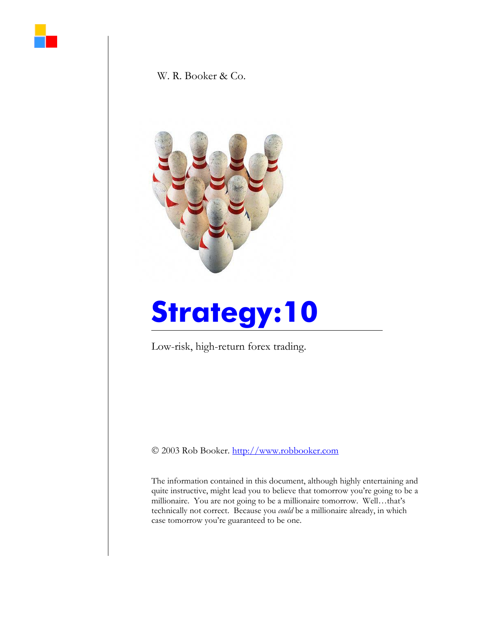

W. R. Booker & Co.



# **Strategy:10**

Low-risk, high-return forex trading.

2003 Rob Booker. http://www.robbooker.com

The information contained in this document, although highly entertaining and quite instructive, might lead you to believe that tomorrow you're going to be a millionaire. You are not going to be a millionaire tomorrow. Well…that's technically not correct. Because you *could* be a millionaire already, in which case tomorrow you're guaranteed to be one.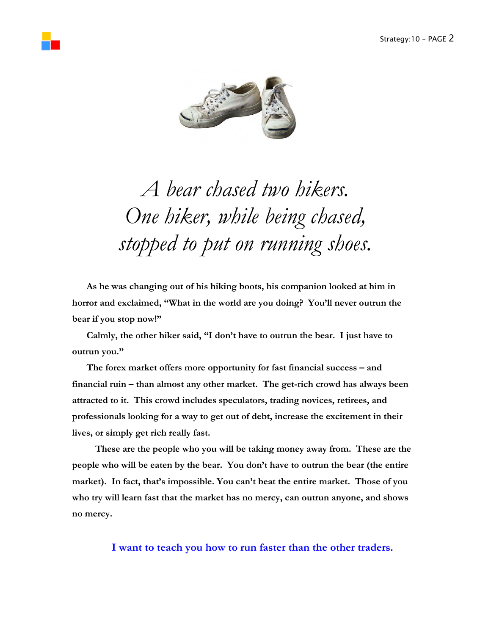



## *A bear chased two hikers. One hiker, while being chased, stopped to put on running shoes.*

**As he was changing out of his hiking boots, his companion looked at him in horror and exclaimed, "What in the world are you doing? You'll never outrun the bear if you stop now!"** 

**Calmly, the other hiker said, "I don't have to outrun the bear. I just have to outrun you."** 

**The forex market offers more opportunity for fast financial success – and financial ruin – than almost any other market. The get-rich crowd has always been attracted to it. This crowd includes speculators, trading novices, retirees, and professionals looking for a way to get out of debt, increase the excitement in their lives, or simply get rich really fast.** 

 **These are the people who you will be taking money away from. These are the people who will be eaten by the bear. You don't have to outrun the bear (the entire market). In fact, that's impossible. You can't beat the entire market. Those of you who try will learn fast that the market has no mercy, can outrun anyone, and shows no mercy.** 

**I want to teach you how to run faster than the other traders.**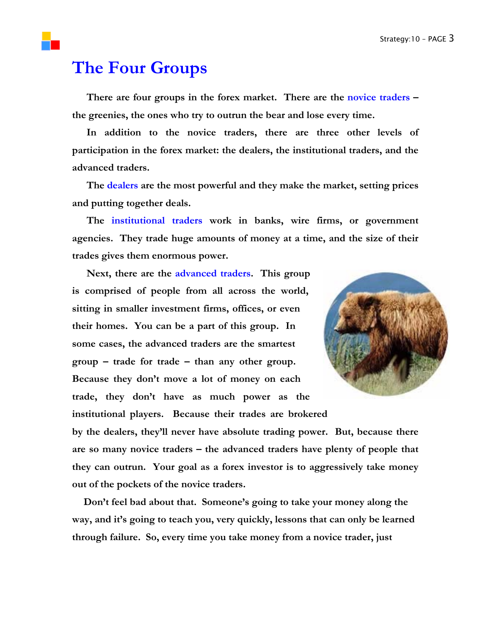### **The Four Groups**

**There are four groups in the forex market. There are the novice traders – the greenies, the ones who try to outrun the bear and lose every time.** 

**In addition to the novice traders, there are three other levels of participation in the forex market: the dealers, the institutional traders, and the advanced traders.** 

**The dealers are the most powerful and they make the market, setting prices and putting together deals.** 

**The institutional traders work in banks, wire firms, or government agencies. They trade huge amounts of money at a time, and the size of their trades gives them enormous power.** 

**Next, there are the advanced traders. This group is comprised of people from all across the world, sitting in smaller investment firms, offices, or even their homes. You can be a part of this group. In some cases, the advanced traders are the smartest group – trade for trade – than any other group. Because they don't move a lot of money on each trade, they don't have as much power as the institutional players. Because their trades are brokered** 



**by the dealers, they'll never have absolute trading power. But, because there are so many novice traders – the advanced traders have plenty of people that they can outrun. Your goal as a forex investor is to aggressively take money out of the pockets of the novice traders.** 

 **Don't feel bad about that. Someone's going to take your money along the way, and it's going to teach you, very quickly, lessons that can only be learned through failure. So, every time you take money from a novice trader, just**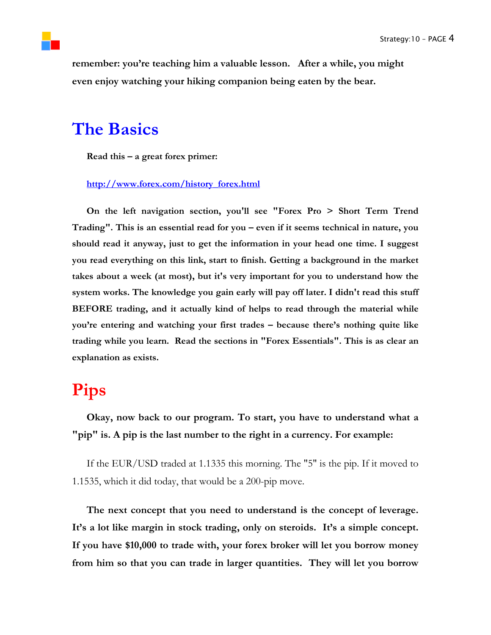**remember: you're teaching him a valuable lesson. After a while, you might even enjoy watching your hiking companion being eaten by the bear.** 

### **The Basics**

**Read this – a great forex primer:** 

#### **http://www.forex.com/history\_forex.html**

**On the left navigation section, you'll see "Forex Pro > Short Term Trend Trading". This is an essential read for you – even if it seems technical in nature, you should read it anyway, just to get the information in your head one time. I suggest you read everything on this link, start to finish. Getting a background in the market takes about a week (at most), but it's very important for you to understand how the system works. The knowledge you gain early will pay off later. I didn't read this stuff BEFORE trading, and it actually kind of helps to read through the material while you're entering and watching your first trades – because there's nothing quite like trading while you learn. Read the sections in "Forex Essentials". This is as clear an explanation as exists.** 

### **Pips**

**Okay, now back to our program. To start, you have to understand what a "pip" is. A pip is the last number to the right in a currency. For example:** 

If the EUR/USD traded at 1.1335 this morning. The "5" is the pip. If it moved to 1.1535, which it did today, that would be a 200-pip move.

**The next concept that you need to understand is the concept of leverage. It's a lot like margin in stock trading, only on steroids. It's a simple concept. If you have \$10,000 to trade with, your forex broker will let you borrow money from him so that you can trade in larger quantities. They will let you borrow**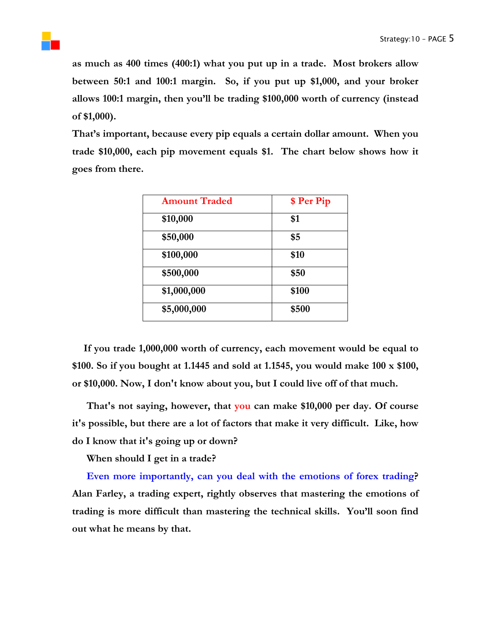

**That's important, because every pip equals a certain dollar amount. When you trade \$10,000, each pip movement equals \$1. The chart below shows how it goes from there.** 

| <b>Amount Traded</b> | \$ Per Pip |
|----------------------|------------|
| \$10,000             | \$1        |
| \$50,000             | \$5        |
| \$100,000            | \$10       |
| \$500,000            | \$50       |
| \$1,000,000          | \$100      |
| \$5,000,000          | \$500      |

**If you trade 1,000,000 worth of currency, each movement would be equal to \$100. So if you bought at 1.1445 and sold at 1.1545, you would make 100 x \$100, or \$10,000. Now, I don't know about you, but I could live off of that much.** 

**That's not saying, however, that you can make \$10,000 per day. Of course it's possible, but there are a lot of factors that make it very difficult. Like, how do I know that it's going up or down?** 

**When should I get in a trade?** 

**Even more importantly, can you deal with the emotions of forex trading? Alan Farley, a trading expert, rightly observes that mastering the emotions of trading is more difficult than mastering the technical skills. You'll soon find out what he means by that.**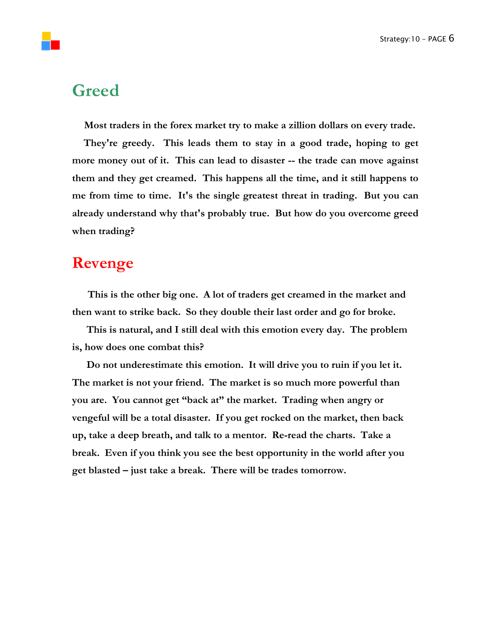#### **Greed**

**Most traders in the forex market try to make a zillion dollars on every trade.** 

 **They're greedy. This leads them to stay in a good trade, hoping to get more money out of it. This can lead to disaster -- the trade can move against them and they get creamed. This happens all the time, and it still happens to me from time to time. It's the single greatest threat in trading. But you can already understand why that's probably true. But how do you overcome greed when trading?** 

#### **Revenge**

 **This is the other big one. A lot of traders get creamed in the market and then want to strike back. So they double their last order and go for broke.** 

**This is natural, and I still deal with this emotion every day. The problem is, how does one combat this?** 

**Do not underestimate this emotion. It will drive you to ruin if you let it. The market is not your friend. The market is so much more powerful than you are. You cannot get "back at" the market. Trading when angry or vengeful will be a total disaster. If you get rocked on the market, then back up, take a deep breath, and talk to a mentor. Re-read the charts. Take a break. Even if you think you see the best opportunity in the world after you get blasted – just take a break. There will be trades tomorrow.**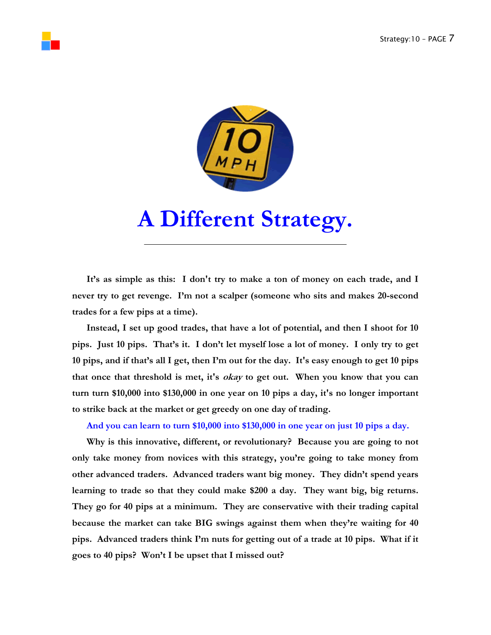



### **A Different Strategy.**

**It's as simple as this: I don't try to make a ton of money on each trade, and I never try to get revenge. I'm not a scalper (someone who sits and makes 20-second trades for a few pips at a time).** 

**Instead, I set up good trades, that have a lot of potential, and then I shoot for 10 pips. Just 10 pips. That's it. I don't let myself lose a lot of money. I only try to get 10 pips, and if that's all I get, then I'm out for the day. It's easy enough to get 10 pips that once that threshold is met, it's okay to get out. When you know that you can turn turn \$10,000 into \$130,000 in one year on 10 pips a day, it's no longer important to strike back at the market or get greedy on one day of trading.** 

**And you can learn to turn \$10,000 into \$130,000 in one year on just 10 pips a day.** 

**Why is this innovative, different, or revolutionary? Because you are going to not only take money from novices with this strategy, you're going to take money from other advanced traders. Advanced traders want big money. They didn't spend years learning to trade so that they could make \$200 a day. They want big, big returns. They go for 40 pips at a minimum. They are conservative with their trading capital because the market can take BIG swings against them when they're waiting for 40 pips. Advanced traders think I'm nuts for getting out of a trade at 10 pips. What if it goes to 40 pips? Won't I be upset that I missed out?**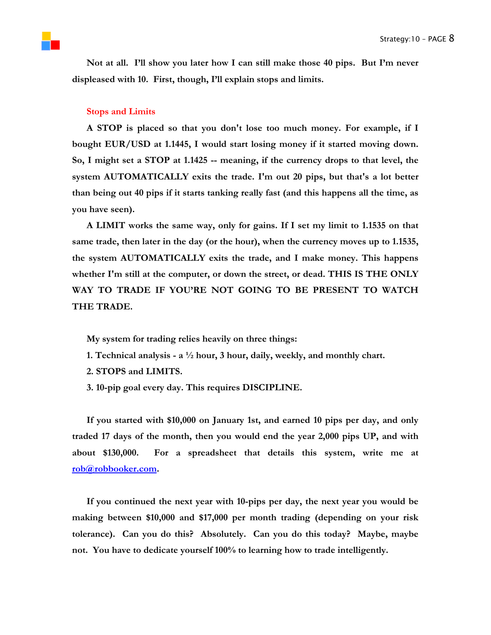**Not at all. I'll show you later how I can still make those 40 pips. But I'm never displeased with 10. First, though, I'll explain stops and limits.** 

#### **Stops and Limits**

**A STOP is placed so that you don't lose too much money. For example, if I bought EUR/USD at 1.1445, I would start losing money if it started moving down. So, I might set a STOP at 1.1425 -- meaning, if the currency drops to that level, the system AUTOMATICALLY exits the trade. I'm out 20 pips, but that's a lot better than being out 40 pips if it starts tanking really fast (and this happens all the time, as you have seen).** 

**A LIMIT works the same way, only for gains. If I set my limit to 1.1535 on that same trade, then later in the day (or the hour), when the currency moves up to 1.1535, the system AUTOMATICALLY exits the trade, and I make money. This happens whether I'm still at the computer, or down the street, or dead. THIS IS THE ONLY WAY TO TRADE IF YOU'RE NOT GOING TO BE PRESENT TO WATCH THE TRADE.** 

**My system for trading relies heavily on three things:** 

- **1. Technical analysis a ½ hour, 3 hour, daily, weekly, and monthly chart.**
- **2. STOPS and LIMITS.**
- **3. 10-pip goal every day. This requires DISCIPLINE.**

**If you started with \$10,000 on January 1st, and earned 10 pips per day, and only traded 17 days of the month, then you would end the year 2,000 pips UP, and with about \$130,000. For a spreadsheet that details this system, write me at rob@robbooker.com.** 

**If you continued the next year with 10-pips per day, the next year you would be making between \$10,000 and \$17,000 per month trading (depending on your risk tolerance). Can you do this? Absolutely. Can you do this today? Maybe, maybe not. You have to dedicate yourself 100% to learning how to trade intelligently.**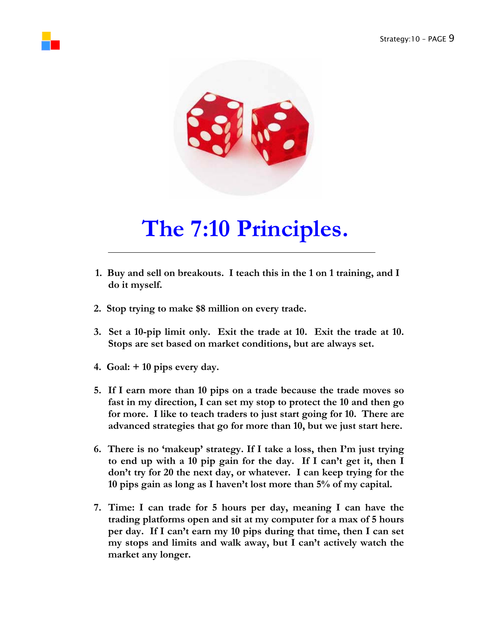



## **The 7:10 Principles.**

- **1. Buy and sell on breakouts. I teach this in the 1 on 1 training, and I do it myself.**
- **2. Stop trying to make \$8 million on every trade.**
- **3. Set a 10-pip limit only. Exit the trade at 10. Exit the trade at 10. Stops are set based on market conditions, but are always set.**
- **4. Goal: + 10 pips every day.**
- **5. If I earn more than 10 pips on a trade because the trade moves so fast in my direction, I can set my stop to protect the 10 and then go for more. I like to teach traders to just start going for 10. There are advanced strategies that go for more than 10, but we just start here.**
- **6. There is no 'makeup' strategy. If I take a loss, then I'm just trying to end up with a 10 pip gain for the day. If I can't get it, then I don't try for 20 the next day, or whatever. I can keep trying for the 10 pips gain as long as I haven't lost more than 5% of my capital.**
- **7. Time: I can trade for 5 hours per day, meaning I can have the trading platforms open and sit at my computer for a max of 5 hours per day. If I can't earn my 10 pips during that time, then I can set my stops and limits and walk away, but I can't actively watch the market any longer.**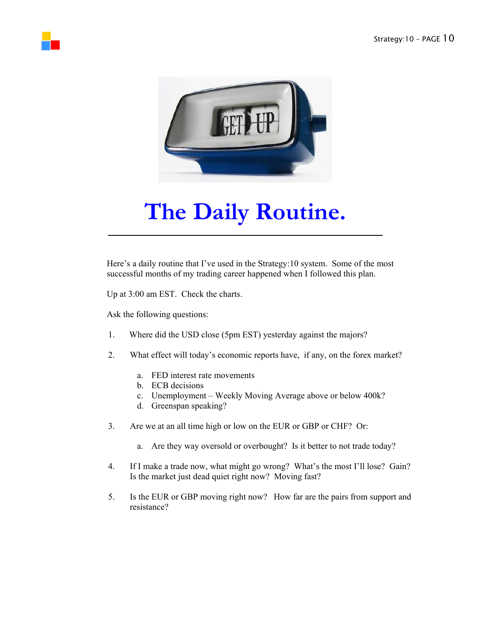



### **The Daily Routine.**

Here's a daily routine that I've used in the Strategy:10 system. Some of the most successful months of my trading career happened when I followed this plan.

Up at 3:00 am EST. Check the charts.

Ask the following questions:

- 1. Where did the USD close (5pm EST) yesterday against the majors?
- 2. What effect will today's economic reports have, if any, on the forex market?
	- a. FED interest rate movements
	- b. ECB decisions
	- c. Unemployment Weekly Moving Average above or below 400k?
	- d. Greenspan speaking?
- 3. Are we at an all time high or low on the EUR or GBP or CHF? Or:
	- a. Are they way oversold or overbought? Is it better to not trade today?
- 4. If I make a trade now, what might go wrong? What's the most I'll lose? Gain? Is the market just dead quiet right now? Moving fast?
- 5. Is the EUR or GBP moving right now? How far are the pairs from support and resistance?